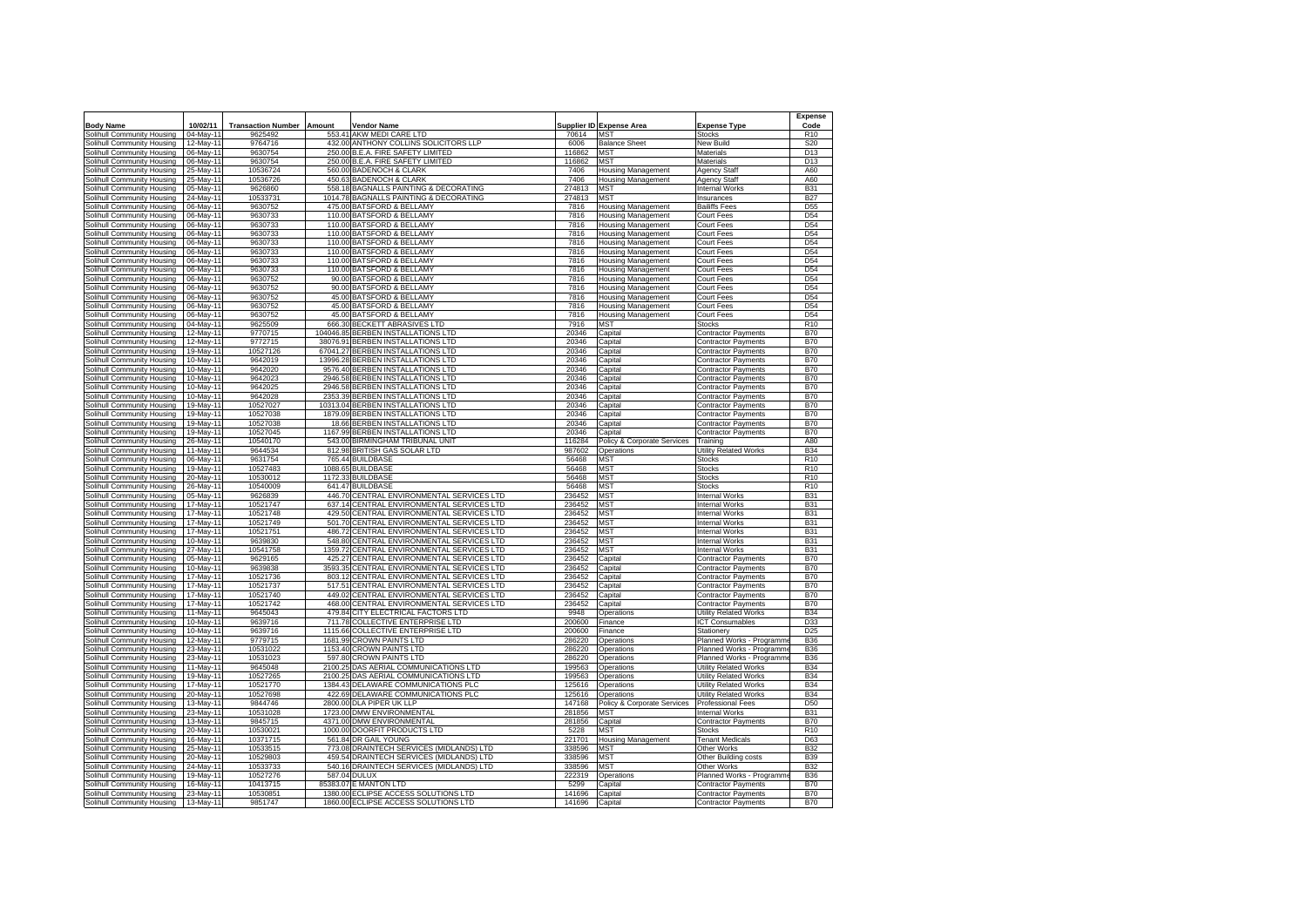|                                   |                        |                           |                |                                                     |                  |                             |                                                | <b>Expense</b>           |
|-----------------------------------|------------------------|---------------------------|----------------|-----------------------------------------------------|------------------|-----------------------------|------------------------------------------------|--------------------------|
| <b>Body Name</b>                  | 10/02/11               | <b>Transaction Number</b> | Amount         | <b>Vendor Name</b>                                  |                  | Supplier ID Expense Area    | <b>Expense Type</b>                            | Code                     |
| Solihull Community Housing        | 04-May-11              | 9625492                   |                | 553.41 AKW MEDI CARE LTD                            | 70614            | <b>MST</b>                  | Stocks                                         | R <sub>10</sub>          |
| Solihull Community Housing        | 12-May-11              | 9764716                   |                | 432.00 ANTHONY COLLINS SOLICITORS LLP               | 6006             | <b>Balance Sheet</b>        | New Build                                      | S20                      |
| Solihull Community Housing        | 06-May-11              | 9630754                   |                | 250.00 B.E.A. FIRE SAFETY LIMITED                   | 116862           | MST                         | Materials                                      | D13                      |
| Solihull Community Housing        | 06-May-11              | 9630754                   |                | 250.00 B.E.A. FIRE SAFETY LIMITED                   | 116862           | MST                         | Materials                                      | D <sub>13</sub>          |
| Solihull Community Housing        | 25-May-11              | 10536724                  |                | 560.00 BADENOCH & CLARK                             | 7406             | <b>Housing Management</b>   | <b>Agency Staff</b>                            | A60                      |
| Solihull Community Housing        | 25-May-11              | 10536726                  |                | 450.63 BADENOCH & CLARK                             | 7406             | Housing Management          | Agency Staff                                   | A60                      |
| Solihull Community Housing        | 05-May-11              | 9626860                   | 558.18         | <b>BAGNALLS PAINTING &amp; DECORATING</b>           | 274813           | MST                         | <b>Internal Works</b>                          | <b>B31</b>               |
| Solihull Community Housing        | 24-May-11              | 10533731                  |                | 1014.78 BAGNALLS PAINTING & DECORATING              | 274813           | MST                         | Insurances                                     | <b>B27</b>               |
| olihull Community Housing         | 06-May-11              | 9630752                   |                | 475.00 BATSFORD & BELLAMY                           | 7816             | Housing Management          | <b>Bailiffs Fees</b>                           | D <sub>55</sub>          |
| <b>Iolihull Community Housing</b> | 06-May-11              | 9630733                   |                | 110.00 BATSFORD & BELLAMY                           | 7816             | Housing Management          | Court Fees                                     | D <sub>54</sub>          |
| Solihull Community Housing        | 06-May-11              | 9630733                   |                | 110.00 BATSFORD & BELLAMY                           | 7816             | Housing Management          | Court Fees                                     | D <sub>54</sub>          |
| Solihull Community Housing        | 06-May-11              | 9630733                   |                | 110.00 BATSFORD & BELLAMY                           | 7816             | Housing Management          | Court Fees                                     | D <sub>54</sub>          |
| Solihull Community Housing        | 06-May-1               | 9630733                   |                | 110.00 BATSFORD & BELLAMY                           | 7816             | <b>Housing Management</b>   | Court Fees                                     | D <sub>54</sub>          |
| Solihull Community Housing        | 06-May-11              | 9630733                   |                | 110.00 BATSFORD & BELLAMY                           | 7816             | <b>Housing Management</b>   | Court Fees                                     | D <sub>54</sub>          |
| Solihull Community Housing        | 06-May-11              | 9630733                   | 110.00         | <b>BATSFORD &amp; BELLAMY</b>                       | 7816             | Housing Management          | Court Fees                                     | D <sub>54</sub>          |
| Solihull Community Housing        | 06-May-11              | 9630733                   | 110.00         | <b>BATSFORD &amp; BELLAMY</b>                       | 7816             | Housing Management          | Court Fees                                     | D <sub>54</sub>          |
| Solihull Community Housing        | 06-May-11              | 9630752                   |                | 90.00 BATSFORD & BELLAMY                            | 7816             | <b>Housing Management</b>   | Court Fees                                     | D <sub>54</sub>          |
|                                   | 06-May-11              | 9630752                   |                | 90.00 BATSFORD & BELLAMY                            | 7816             |                             | Court Fees                                     | D <sub>54</sub>          |
| Solihull Community Housing        |                        | 9630752                   |                | 45.00 BATSFORD & BELLAMY                            | 7816             | Housing Management          |                                                | D <sub>54</sub>          |
| Solihull Community Housing        | 06-May-11              |                           |                |                                                     |                  | Housing Management          | Court Fees                                     |                          |
| Solihull Community Housing        | 06-May-11              | 9630752                   | 45.00<br>45.00 | <b>BATSFORD &amp; BELLAMY</b>                       | 7816             | Housing Management          | Court Fees                                     | D <sub>54</sub>          |
| Solihull Community Housing        | 06-May-11              | 9630752                   |                | <b>BATSFORD &amp; BELLAMY</b>                       | 7816             | <b>Housing Management</b>   | Court Fees                                     | D <sub>54</sub>          |
| Solihull Community Housing        | 04-May-11              | 9625509                   | 666.30         | <b>BECKETT ABRASIVES LTD</b>                        | 7916             | <b>MST</b>                  | <b>Stocks</b>                                  | R <sub>10</sub>          |
| Solihull Community Housing        | 12-May-11              | 9770715                   | 104046.85      | <b>BERBEN INSTALLATIONS LTD</b>                     | 20346            | Capital                     | Contractor Payments                            | <b>B70</b>               |
| <b>Iolihull Community Housing</b> | 12-May-11              | 9772715                   | 38076.91       | <b>BERBEN INSTALLATIONS</b><br>LTD                  | 20346            | Capital                     | <b>Contractor Payments</b>                     | <b>B70</b>               |
| Solihull Community Housing        | 19-May-11              | 10527126                  | 67041.27       | BERBEN INSTALLATIONS LTD                            | 20346            | Capital                     | Contractor Payments                            | <b>B70</b>               |
| Solihull Community Housing        | 10-May-11              | 9642019                   |                | 13996.28 BERBEN INSTALLATIONS<br>LTD                | 20346            | Capital                     | Contractor Payments                            | <b>B70</b>               |
| <b>Iolihull Community Housing</b> | 10-May-11              | 9642020                   |                | 9576.40 BERBEN INSTALLATIONS LTD                    | 20346            | Capital                     | <b>Contractor Payments</b>                     | <b>B70</b>               |
| Solihull Community Housing        | 10-May-11              | 9642023                   |                | 2946.58 BERBEN INSTALLATIONS<br>LTD.                | 20346            | Capital                     | <b>Contractor Payments</b>                     | <b>B70</b>               |
| Solihull Community Housing        | 10-May-1               | 9642025                   |                | 2946.58 BERBEN INSTALLATIONS LTD                    | 20346            | Capital                     | <b>Contractor Payments</b>                     | <b>B70</b>               |
| Solihull Community Housing        | 10-May-1               | 9642028                   | 2353.39        | <b>BERBEN INSTALLATIONS LTD</b>                     | 20346            | Capital                     | <b>Contractor Payments</b>                     | <b>B70</b>               |
| Solihull Community Housing        | 19-May-11              | 10527027                  |                | 10313.04 BERBEN INSTALLATIONS LTD                   | 20346            | Capital                     | <b>Contractor Payments</b>                     | <b>B70</b>               |
| Solihull Community Housing        | 19-May-11              | 10527038                  |                | 1879.09 BERBEN INSTALLATIONS LTD                    | 20346            | Capital                     | <b>Contractor Payments</b>                     | <b>B70</b>               |
| Solihull Community Housing        | 19-May-11              | 10527038                  |                | 18.66 BERBEN INSTALLATIONS LTD                      | 20346            | Capital                     | <b>Contractor Payments</b>                     | <b>B70</b>               |
| Solihull Community Housing        | 19-May-11              | 10527045                  |                | 1167.99 BERBEN INSTALLATIONS LTD                    | 20346            | Capital                     | <b>Contractor Payments</b>                     | <b>B70</b>               |
| Solihull Community Housing        | 26-May-11              | 10540170                  |                | 543.00 BIRMINGHAM TRIBUNAL UNIT                     | 116284           | Policy & Corporate Services | Training                                       | A80                      |
| Solihull Community Housing        | 11-May-11              | 9644534                   |                | 812.98 BRITISH GAS SOLAR LTD                        | 987602           | Operations                  | Utility Related Works                          | <b>B34</b>               |
| Solihull Community Housing        | 06-May-11              | 9631754                   |                | 765.44 BUILDBASE                                    | 56468            | MST                         | <b>Stocks</b>                                  | R <sub>10</sub>          |
| Solihull Community Housing        | 19-May-11              | 10527483                  |                | 1088.65 BUILDBASE                                   | 56468            | MST                         | <b>Stocks</b>                                  | R <sub>10</sub>          |
| Solihull Community Housing        | 20-May-11              | 10530012                  |                | 1172.33 BUILDBASE                                   | 56468            | MST                         | <b>Stocks</b>                                  | R <sub>10</sub>          |
| Solihull Community Housing        | 26-May-11              | 10540009                  |                | 641.47 BUILDBASE                                    | 56468            | MST                         | Stocks                                         | R <sub>10</sub>          |
| <b>Iolihull Community Housing</b> | 05-May-11              | 9626839                   |                | 446.70 CENTRAL ENVIRONMENTAL SERVICES LTD           | 236452           | <b>MST</b>                  | <b>Internal Works</b>                          | <b>B31</b>               |
| Solihull Community Housing        | 17-May-11              | 10521747                  |                | 637.14 CENTRAL ENVIRONMENTAL SERVICES LTD           | 236452           | <b>MST</b>                  | Internal Works                                 | <b>B31</b>               |
| Solihull Community Housing        | 17-May-11              | 10521748                  |                | 429.50 CENTRAL ENVIRONMENTAL SERVICES LTD           | 236452           | <b>MST</b>                  | <b>Internal Works</b>                          | <b>B31</b>               |
| Solihull Community Housing        | 17-May-11              | 10521749                  | 501.70         | CENTRAL ENVIRONMENTAL SERVICES LTD                  | 236452           | <b>MST</b>                  | <b>Internal Works</b>                          | <b>B31</b>               |
| Solihull Community Housing        | 17-May-11              | 10521751                  | 486.72         | CENTRAL ENVIRONMENTAL SERVICES LTD                  | 236452           | <b>MST</b>                  | <b>Internal Works</b>                          | <b>B31</b>               |
| Solihull Community Housing        | 10-May-11              | 9639830                   | 548.80         | CENTRAL ENVIRONMENTAL SERVICES LTD                  | 236452           | <b>MST</b>                  | <b>Internal Works</b>                          | <b>B31</b>               |
| Solihull Community Housing        | 27-May-11              | 10541758                  | 1359.72        | CENTRAL ENVIRONMENTAL SERVICES LTD                  | 236452           | <b>AST</b>                  | Internal Works                                 | <b>B31</b>               |
| Solihull Community Housing        | 05-May-11              | 9629165                   | 425.27         | CENTRAL ENVIRONMENTAL SERVICES LTD                  | 236452           | Capital                     | <b>Contractor Payments</b>                     | <b>B70</b>               |
| Solihull Community Housing        | 10-May-11              | 9639838                   | 3593.35        | CENTRAL ENVIRONMENTAL SERVICES LTD                  | 236452           | Capital                     | Contractor Payments                            | <b>B70</b>               |
| Solihull Community Housing        | 17-May-11              | 10521736                  | 803.12         | CENTRAL ENVIRONMENTAL SERVICES LTD                  | 236452           | Capital                     | Contractor Payments                            | <b>B70</b>               |
| Solihull Community Housing        | 17-May-11              | 10521737                  |                | 517.51 CENTRAL ENVIRONMENTAL SERVICES LTD           | 236452           | Capital                     | <b>Contractor Payments</b>                     | <b>B70</b>               |
| Solihull Community Housing        | 17-May-11              | 10521740                  | 449.02         | CENTRAL ENVIRONMENTAL SERVICES LTD                  | 236452           | Capital                     | Contractor Payments                            | <b>B70</b>               |
| Solihull Community Housing        | 17-May-11              | 10521742                  | 468.00         | CENTRAL ENVIRONMENTAL SERVICES LTD                  | 236452           | apital                      | Contractor Payments                            | <b>B70</b>               |
| Solihull Community Housing        | 11-May-11              | 9645043                   | 479.84         | CITY ELECTRICAL FACTORS LTD                         | 9948             | <b>Operations</b>           | <b>Jtility Related Works</b>                   | <b>B34</b>               |
| <b>Iolihull Community Housing</b> | 10-May-11              | 9639716                   | 711.78         | COLLECTIVE ENTERPRISE LTD                           | 200600           | -inance                     | CT Consumables                                 | D33                      |
| <b>Iolihull Community Housing</b> | 10-May-11              | 9639716                   | 1115.66        | COLLECTIVE ENTERPRISE LTD                           | 200600           | inance                      | <b>Stationery</b>                              | D <sub>25</sub>          |
| <b>Iolihull Community Housing</b> | 12-May-11              | 9779715                   | 1681.99        | <b>CROWN PAINTS LTD</b>                             | 286220           | Doerations                  | Planned Works - Programm                       | <b>B36</b>               |
|                                   |                        |                           |                |                                                     |                  |                             |                                                |                          |
| <b>Iolihull Community Housing</b> | 23-May-11<br>23-May-11 | 10531022<br>10531023      |                | 1153.40 CROWN PAINTS LTD<br>597.80 CROWN PAINTS LTD | 286220<br>286220 | Doerations                  | Planned Works - Programm                       | <b>B36</b><br><b>B36</b> |
| Solihull Community Housing        |                        | 9645048                   | 2100.25        | DAS AERIAL COMMUNICATIONS LTD                       |                  | Operations                  | Planned Works - Programm                       |                          |
| Solihull Community Housing        | 11-May-11<br>19-May-1  | 10527265                  | 2100.25        | DAS AERIAL COMMUNICATIONS LTD                       | 199563<br>199563 | Operations                  | Utility Related Works<br>Utility Related Works | <b>B34</b><br><b>B34</b> |
| Solihull Community Housing        |                        |                           |                |                                                     |                  | <b>Operations</b>           |                                                |                          |
| Solihull Community Housing        | 17-May-11              | 10521770                  | 422.69         | 1384.43 DELAWARE COMMUNICATIONS PLC                 | 125616           | Operations                  | <b>Utility Related Works</b>                   | <b>B34</b>               |
| Solihull Community Housing        | 20-May-11              | 10527698                  |                | DELAWARE COMMUNICATIONS PLC                         | 125616           | Operations                  | <b>Utility Related Works</b>                   | <b>B34</b>               |
| Solihull Community Housing        | 13-May-11              | 9844746                   | 2800.00        | DLA PIPER UK LLP                                    | 147168           | Policy & Corporate Services | <b>Professional Fees</b>                       | D <sub>50</sub>          |
| Solihull Community Housing        | $23$ -May-11           | 10531028                  | 1723.00        | <b>DMW ENVIRONMENTAL</b>                            | 281856           | <b>MST</b>                  | <b>Internal Works</b>                          | <b>B31</b>               |
| Solihull Community Housing        | 13-May-11              | 9845715                   |                | 4371.00 DMW ENVIRONMENTAL                           | 281856           | Capital                     | <b>Contractor Payments</b>                     | <b>B70</b>               |
| Solihull Community Housing        | 20-May-11              | 10530021                  |                | 1000.00 DOORFIT PRODUCTS LTD                        | 5228             | <b>MST</b>                  | <b>Stocks</b>                                  | R <sub>10</sub>          |
| Solihull Community Housing        | 16-May-11              | 10371715                  |                | 561.84 DR GAIL YOUNG                                | 221701           | <b>Housing Management</b>   | <b>Tenant Medicals</b>                         | D63                      |
| Solihull Community Housing        | 25-May-11              | 10533515                  |                | 773.08 DRAINTECH SERVICES (MIDLANDS) LTD            | 338596           | MST                         | Other Works                                    | <b>B32</b>               |
| Solihull Community Housing        | 20-May-11              | 10529803                  |                | 459.54 DRAINTECH SERVICES (MIDLANDS) LTD            | 338596           | <b>MST</b>                  | Other Building costs                           | <b>B39</b>               |
| Solihull Community Housing        | 24-May-11              | 10533733                  |                | 540.16 DRAINTECH SERVICES (MIDLANDS) LTD            | 338596           | <b>MST</b>                  | Other Works                                    | <b>B32</b>               |
| Solihull Community Housing        | 19-May-11              | 10527276                  | 587.04 DULUX   |                                                     | 222319           | Operations                  | Planned Works - Programm                       | <b>B36</b>               |
| olihull Community Housing         | 16-May-11              | 10413715                  |                | 85383.07 E MANTON LTD                               | 5299             | Capital                     | Contractor Payments                            | <b>B70</b>               |
| Solihull Community Housing        | 23-May-11              | 10530851                  |                | 1380.00 ECLIPSE ACCESS SOLUTIONS LTD                | 141696           | Capital                     | <b>Contractor Payments</b>                     | <b>B70</b>               |
| Solihull Community Housing        | 13-May-11              | 9851747                   |                | 1860.00 ECLIPSE ACCESS SOLUTIONS LTD                | 141696           | Capital                     | <b>Contractor Payments</b>                     | <b>B70</b>               |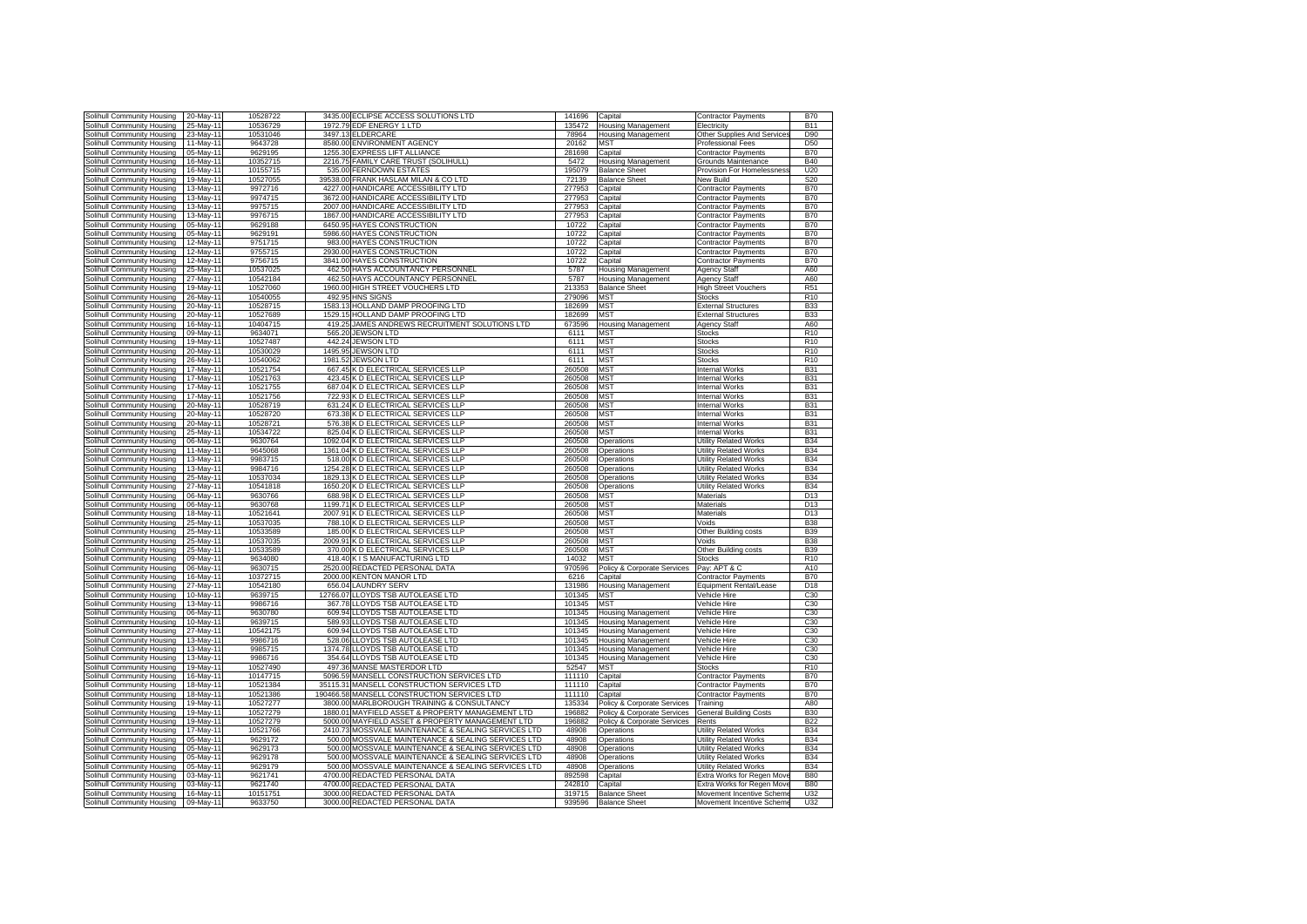| Solihull Community Housing                               | 20-May-1               | 10528722             | 3435.00<br>ECLIPSE ACCESS SOLUTIONS LTD                                  | 141696           | Capital                                      | <b>Contractor Payments</b>                           | <b>B70</b>      |
|----------------------------------------------------------|------------------------|----------------------|--------------------------------------------------------------------------|------------------|----------------------------------------------|------------------------------------------------------|-----------------|
| Solihull Community Housing                               | 25-May-1               | 10536729             | 1972.79<br>EDF ENERGY 1 LTD                                              | 135472           | Housing Management                           | Electricity                                          | <b>B11</b>      |
|                                                          |                        |                      |                                                                          | 78964            |                                              |                                                      |                 |
| Solihull Community Housing                               | 23-May-11              | 10531046             | 3497.13 ELDERCARE                                                        |                  | <b>Housing Management</b>                    | Other Supplies And Service                           | D90             |
| Solihull Community Housing                               | 11-May-11              | 9643728              | 8580.00 ENVIRONMENT AGENCY                                               | 20162            | MST                                          | Professional Fees                                    | D <sub>50</sub> |
| Solihull Community Housing                               | 05-May-11              | 9629195              | EXPRESS LIFT ALLIANCE<br>1255.30                                         | 281698           | Capital                                      | <b>Contractor Payments</b>                           | <b>B70</b>      |
| Solihull Community Housing                               | 16-May-11              | 10352715             | FAMILY CARE TRUST (SOLIHULL)<br>2216.75                                  | 5472             | Housing Management                           | <b>Grounds Maintenance</b>                           | <b>B40</b>      |
| Solihull Community Housing                               | 16-May-11              | 10155715             | 535.00 FERNDOWN ESTATES                                                  | 195079           | <b>Balance Sheet</b>                         | Provision For Homelessness                           | U20             |
| Solihull Community Housing                               | 19-May-11              | 10527055             | 39538.00<br>FRANK HASLAM MILAN & CO LTD                                  | 72139            | <b>Balance Sheet</b>                         | <b>Vew Build</b>                                     | S20             |
| Solihull Community Housing                               | 13-May-11              | 9972716              | HANDICARE ACCESSIBILITY LTD<br>4227.00                                   | 277953           | Capital                                      | Contractor Payments                                  | <b>B70</b>      |
| <b>Iolihull Community Housing</b>                        | 13-May-11              | 9974715              | 3672.00 HANDICARE ACCESSIBILITY LTD                                      | 277953           | Capital                                      | Contractor Payments                                  | <b>B70</b>      |
| Solihull Community Housing                               | 13-May-11              | 9975715              | 2007.00 HANDICARE ACCESSIBILITY LTD                                      | 277953           | Capital                                      | Contractor Payments                                  | <b>B70</b>      |
|                                                          |                        |                      | 1867.00 HANDICARE ACCESSIBILITY LTD                                      | 277953           |                                              |                                                      |                 |
| Solihull Community Housing                               | 13-May-11              | 9976715              |                                                                          |                  | Capital                                      | Contractor Payments                                  | <b>B70</b>      |
| Solihull Community Housing                               | 05-May-11              | 9629188              | 6450.95 HAYES CONSTRUCTION                                               | 10722            | Capital                                      | <b>Contractor Payments</b>                           | <b>B70</b>      |
| Solihull Community Housing                               | 05-May-11              | 9629191              | 5986.60 HAYES CONSTRUCTION                                               | 10722            | Capital                                      | Contractor Payments                                  | <b>B70</b>      |
| Solihull Community Housing                               | 12-May-1               | 9751715              | 983.00 HAYES CONSTRUCTION                                                | 10722            | Capital                                      | Contractor Payments                                  | <b>B70</b>      |
| Solihull Community Housing                               | 12-May-1               | 9755715              | 2930.00 HAYES CONSTRUCTION                                               | 10722            | Capital                                      | <b>Contractor Payments</b>                           | <b>B70</b>      |
| Solihull Community Housing                               | 12-May-11              | 9756715              | 3841.00 HAYES CONSTRUCTION                                               | 10722            | Capital                                      | <b>Contractor Payments</b>                           | <b>B70</b>      |
| Solihull Community Housing                               | 25-May-11              | 10537025             | HAYS ACCOUNTANCY PERSONNEL<br>462.50                                     | 5787             | lousing Management                           | <b>Agency Staff</b>                                  | A60             |
| Solihull Community Housing                               | 27-May-11              | 10542184             | 462.50 HAYS ACCOUNTANCY PERSONNEL                                        | 5787             | Housing Management                           | Agency Staff                                         | A60             |
| Solihull Community Housing                               | 19-May-11              | 10527060             | 1960.00 HIGH STREET VOUCHERS LTD                                         | 213353           | <b>Balance Sheet</b>                         | <b>High Street Vouchers</b>                          | R <sub>51</sub> |
|                                                          | 26-May-11              | 10540055             | 492.95 HNS SIGNS                                                         | 279096           | MST                                          | Stocks                                               | R <sub>10</sub> |
| Solihull Community Housing                               |                        |                      |                                                                          |                  |                                              |                                                      |                 |
| Solihull Community Housing                               | 20-May-11              | 10528715             | 1583.13 HOLLAND DAMP PROOFING LTD                                        | 182699           | MST                                          | <b>External Structures</b>                           | <b>B33</b>      |
| Solihull Community Housing                               | 20-May-11              | 10527689             | HOLLAND DAMP PROOFING LTD<br>1529.15                                     | 182699           | <b>MST</b>                                   | <b>External Structures</b>                           | <b>B33</b>      |
| Solihull Community Housing                               | 16-May-11              | 10404715             | 419.25<br>JAMES ANDREWS RECRUITMENT SOLUTIONS LTD                        | 673596           | <b>Housing Management</b>                    | <b>Agency Staff</b>                                  | A60             |
| Solihull Community Housing                               | 09-May-11              | 9634071              | 565.20<br>JEWSON LTD                                                     | 6111             | <b>MST</b>                                   | <b>Stocks</b>                                        | R <sub>10</sub> |
| <b>Iolihull Community Housing</b>                        | 19-May-11              | 10527487             | 442.24<br><b>JEWSON LTD</b>                                              | 6111             | MS <sub>1</sub>                              | stocks                                               | R <sub>10</sub> |
| Solihull Community Housing                               | 20-May-11              | 10530029             | 1495.95<br><b>JEWSON LTD</b>                                             | 6111             | MS <sub>1</sub>                              | <b>Stocks</b>                                        | R <sub>10</sub> |
| Solihull Community Housing                               | 26-May-11              | 10540062             | 1981.52<br><b>JEWSON LTD</b>                                             | 6111             | <b>MST</b>                                   | <b>Stocks</b>                                        | R <sub>10</sub> |
| Solihull Community Housing                               | 17-May-1               | 10521754             | K D ELECTRICAL SERVICES LLP<br>667.45                                    | 260508           | <b>MST</b>                                   | <b>Internal Works</b>                                | <b>B31</b>      |
| Solihull Community Housing                               | $17$ -May-1            | 10521763             | K D ELECTRICAL SERVICES LLP<br>423.45                                    | 260508           | <b>MST</b>                                   | <b>Internal Works</b>                                | <b>B31</b>      |
| Solihull Community Housing                               | 17-May-1               | 10521755             | 687.04 K D ELECTRICAL SERVICES LLP                                       | 260508           | <b>MST</b>                                   | Internal Works                                       | <b>B31</b>      |
| Solihull Community Housing                               | 17-May-1               | 10521756             | 722.93<br>K D ELECTRICAL SERVICES LLP                                    | 260508           | <b>MST</b>                                   | Internal Works                                       | <b>B31</b>      |
| Solihull Community Housing                               | 20-May-1               | 10528719             | 631 24<br>K D ELECTRICAL SERVICES LLP                                    | 260508           | <b>MST</b>                                   | Internal Works                                       | <b>B31</b>      |
|                                                          |                        | 10528720             | 673.38                                                                   | 260508           | <b>MST</b>                                   |                                                      |                 |
| Solihull Community Housing                               | 20-May-11              |                      | K D ELECTRICAL SERVICES LLP                                              |                  |                                              | <b>Internal Works</b>                                | <b>B31</b>      |
| Solihull Community Housing                               | 20-May-11              | 10528721             | K D ELECTRICAL SERVICES LLP<br>576.38                                    | 260508           | <b>MST</b>                                   | Internal Works                                       | <b>B31</b>      |
| Solihull Community Housing                               | 25-May-11              | 10534722             | K D ELECTRICAL SERVICES LLP<br>825.04                                    | 260508           | <b>MST</b>                                   | Internal Works                                       | <b>B31</b>      |
| Solihull Community Housing                               | 06-May-11              | 9630764              | 1092.04<br>(D ELECTRICAL SERVICES LLP                                    | 260508           | Operations                                   | Utility Related Works                                | <b>B34</b>      |
| Solihull Community Housing                               | 11-May-1               | 9645068              | 1361.04<br>(D ELECTRICAL SERVICES LLP                                    | 260508           | Operations                                   | Jtility Related Works                                | <b>B34</b>      |
| Solihull Community Housing                               | 13-May-11              | 9983715              | K D ELECTRICAL SERVICES LLP<br>518.00                                    | 260508           | Operations                                   | Jtility Related Works                                | <b>B34</b>      |
| Solihull Community Housing                               | 13-May-11              | 9984716              | 1254.28<br><b>(DELECTRICAL SERVICES LLP</b>                              | 260508           | Operations                                   | Jtility Related Works                                | <b>B34</b>      |
| Solihull Community Housing                               | 25-May-11              | 10537034             | 1829.13<br>D ELECTRICAL SERVICES LLP                                     | 260508           | Operations                                   | Jtility Related Works                                | <b>B34</b>      |
| Solihull Community Housing                               | 27-May-11              | 10541818             | <b>(DELECTRICAL SERVICES LLP</b><br>1650.20                              | 260508           | Operations                                   | Jtility Related Works                                | <b>B34</b>      |
| Solihull Community Housing                               | 06-May-11              | 9630766              | K D ELECTRICAL SERVICES LLP<br>688.98                                    | 260508           | <b>MST</b>                                   | Materials                                            | D13             |
| Solihull Community Housing                               | 06-May-11              | 9630768              | 1199.71 K D ELECTRICAL SERVICES LLP                                      | 260508           | <b>MST</b>                                   | Materials                                            | D <sub>13</sub> |
|                                                          |                        |                      | 2007.91 K D ELECTRICAL SERVICES LLP                                      | 260508           |                                              |                                                      | D <sub>13</sub> |
| Solihull Community Housing                               | 18-May-1               | 10521641<br>10537035 |                                                                          |                  | <b>MST</b><br><b>MST</b>                     | Materials                                            | <b>B38</b>      |
| Solihull Community Housing                               | 25-May-1               |                      | 788.10 K D ELECTRICAL SERVICES LLP<br>185.00 K D ELECTRICAL SERVICES LLP | 260508           |                                              | Voids                                                |                 |
| Solihull Community Housing                               | 25-May-1               |                      |                                                                          |                  |                                              |                                                      |                 |
|                                                          |                        | 10533589             |                                                                          | 260508           | <b>MST</b>                                   | Other Building costs                                 | <b>B39</b>      |
| Solihull Community Housing                               | 25-May-1               | 10537035             | 2009.91<br>K D ELECTRICAL SERVICES LLP                                   | 260508           | <b>MST</b>                                   | Voids                                                | <b>B38</b>      |
| Solihull Community Housing                               | 25-May-11              | 10533589             | 370.00 K D ELECTRICAL SERVICES LLP                                       | 260508           | MST                                          | Other Building costs                                 | <b>B39</b>      |
| Solihull Community Housing                               | 09-May-11              | 9634080              | K I S MANUFACTURING LTD<br>418.40                                        | 14032            | <b>MST</b>                                   | <b>Stocks</b>                                        | R <sub>10</sub> |
| Solihull Community Housing                               | 06-May-11              | 9630715              | 2520.00 REDACTED PERSONAL DATA                                           | 970596           | Policy & Corporate Services                  | Pay: APT & C                                         | A10             |
|                                                          | 16-May-11              | 10372715             | 2000.00 KENTON MANOR LTD                                                 | 6216             |                                              |                                                      | <b>B70</b>      |
| Solihull Community Housing                               |                        |                      |                                                                          |                  | Capital                                      | Contractor Payments                                  |                 |
| Solihull Community Housing                               | 27-May-11              | 10542180             | 656.04 LAUNDRY SERV                                                      | 131986           | <b>Housing Management</b>                    | Equipment Rental/Lease                               | D18             |
| Solihull Community Housing                               | 10-May-11              | 9639715              | 12766.07 LLOYDS TSB AUTOLEASE LTD                                        | 101345           | MST                                          | /ehicle Hire                                         | C30             |
| Solihull Community Housing                               | 13-May-11              | 9986716              | LOYDS TSB AUTOLEASE LTD<br>367.78                                        | 101345           | MST                                          | /ehicle Hire                                         | C <sub>30</sub> |
| Solihull Community Housing                               | 06-May-11              | 9630780              | 609.94<br><b>LLOYDS TSB AUTOLEASE LTD</b>                                | 101345           | <b>Housing Management</b>                    | /ehicle Hire                                         | C30             |
| Solihull Community Housing                               | 10-May-11              | 9639715              | LOYDS TSB AUTOLEASE LTD<br>589.93                                        | 101345           | Housing Management                           | ehicle Hire                                          | C <sub>30</sub> |
| Solihull Community Housing                               | 27-May-11              | 10542175             | LLOYDS TSB AUTOLEASE LTD<br>609.94                                       | 101345           | <b>Housing Management</b>                    | ehicle Hire                                          | C30             |
| Solihull Community Housing                               | 13-May-11              | 9986716              | 528.06<br>LOYDS TSB AUTOLEASE LTD                                        | 101345           | Housing Management                           | /ehicle Hire                                         | C30             |
| Solihull Community Housing                               | 13-May-11              | 9985715              | 1374.78<br>LLOYDS TSB AUTOLEASE LTD                                      | 101345           | Housing Management                           | /ehicle Hire                                         | C <sub>30</sub> |
| Solihull Community Housing                               | 13-May-11              | 9986716              | 354.64<br>LLOYDS TSB AUTOLEASE LTD                                       | 101345           | <b>Housing Management</b>                    | Vehicle Hire                                         | C30             |
| Solihull Community Housing                               | 19-May-11              | 10527490             | MANSE MASTERDOR LTD<br>497.36                                            | 52547            | MST                                          | Stocks                                               | R <sub>10</sub> |
| Solihull Community Housing                               | 16-May-1               | 10147715             | 5096.59<br>MANSELL CONSTRUCTION SERVICES LTD                             | 111110           | Capital                                      | Contractor Payments                                  | <b>B70</b>      |
| Solihull Community Housing                               | 18-May-1               | 10521384             | 35115.31<br>MANSELL CONSTRUCTION SERVICES LTD                            | 111110           | Capital                                      | <b>Contractor Payments</b>                           | <b>B70</b>      |
| Solihull Community Housing                               | 18-May-1               | 10521386             | MANSELL CONSTRUCTION SERVICES LTD<br>190466.58                           | 111110           | Capital                                      | <b>Contractor Payments</b>                           | <b>B70</b>      |
| Solihull Community Housing                               | 19-May-11              | 10527277             | MARLBOROUGH TRAINING & CONSULTANCY<br>3800.00                            | 135334           | Policy & Corporate Services                  | Training                                             | A80             |
|                                                          |                        |                      |                                                                          |                  |                                              |                                                      |                 |
| Solihull Community Housing                               | 19-May-11              | 10527279             | 1880.01 MAYFIELD ASSET & PROPERTY MANAGEMENT LTD                         | 196882           | Policy & Corporate Services                  | <b>General Building Costs</b>                        | <b>B30</b>      |
| Solihull Community Housing                               | 19-May-11              | 10527279             | 5000.00 MAYFIELD ASSET & PROPERTY MANAGEMENT LTD                         | 196882           | Policy & Corporate Services                  | Rents                                                | <b>B22</b>      |
| Solihull Community Housing                               | $17$ -May-1            | 10521766             | 2410.73 MOSSVALE MAINTENANCE & SEALING SERVICES LTD                      | 48908            | Operations                                   | Utility Related Works                                | <b>B34</b>      |
| Solihull Community Housing                               | 05-May-11              | 9629172              | 500.00<br>MOSSVALE MAINTENANCE & SEALING SERVICES LTD                    | 48908            | Operations                                   | Utility Related Works                                | <b>B34</b>      |
| Solihull Community Housing                               | 05-May-11              | 9629173              | 500.00<br>MOSSVALE MAINTENANCE & SEALING SERVICES LTD                    | 48908            | Operations                                   | Utility Related Works                                | <b>B34</b>      |
| Solihull Community Housing                               | 05-May-11              | 9629178              | 500.00<br>MOSSVALE MAINTENANCE & SEALING SERVICES LTD                    | 48908            | Operations                                   | Utility Related Works                                | <b>B34</b>      |
| Solihull Community Housing                               | 05-May-11              | 9629179              | 500.00<br>MOSSVALE MAINTENANCE & SEALING SERVICES LTD                    | 48908            | Operations                                   | Jtility Related Works                                | <b>B34</b>      |
| <b>Iolihull Community Housing</b>                        | 03-May-1               | 9621741              | 4700.00<br>REDACTED PERSONAL DATA                                        | 892598           | Capital                                      | xtra Works for Regen Mov                             | <b>B80</b>      |
| Solihull Community Housing                               | 03-May-11              | 9621740              | 4700.00 REDACTED PERSONAL DATA                                           | 242810           | Capital                                      | xtra Works for Regen Mov                             | <b>B80</b>      |
| Solihull Community Housing<br>Solihull Community Housing | 16-May-11<br>09-May-11 | 10151751<br>9633750  | 3000.00 REDACTED PERSONAL DATA<br>3000.00 REDACTED PERSONAL DATA         | 319715<br>939596 | <b>Balance Sheet</b><br><b>Balance Sheet</b> | Movement Incentive Schem<br>Movement Incentive Schem | U32<br>U32      |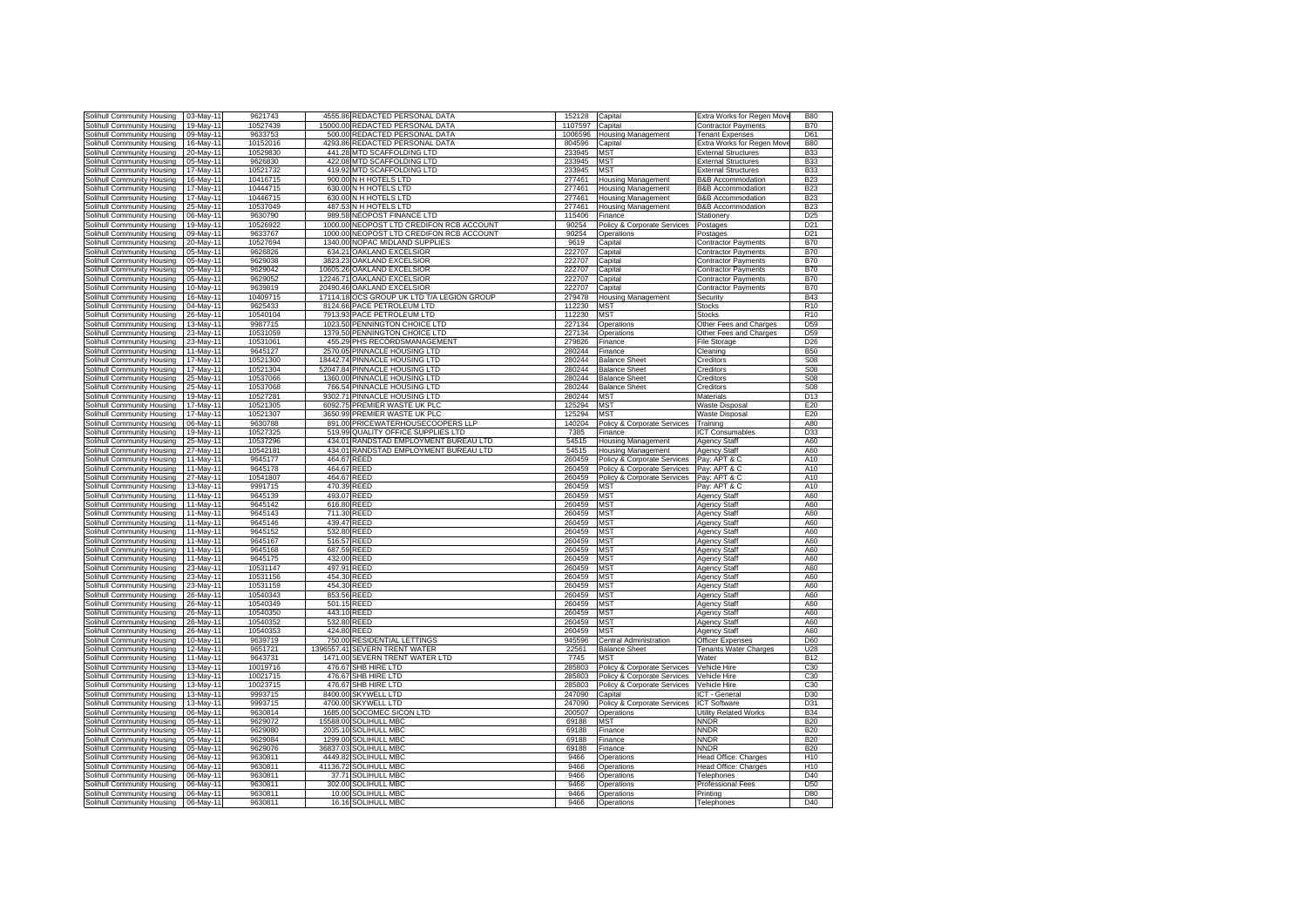| Solihull Community Housing                                                                                                                                                                                                                                                 | 03-May-11              | 9621743            | 4555.86     | REDACTED PERSONAL DATA                   | 152128       | Capital                     | Extra Works for Regen Move   | <b>B80</b>      |
|----------------------------------------------------------------------------------------------------------------------------------------------------------------------------------------------------------------------------------------------------------------------------|------------------------|--------------------|-------------|------------------------------------------|--------------|-----------------------------|------------------------------|-----------------|
| Solihull Community Housing                                                                                                                                                                                                                                                 | 19-May-11              | 10527439           | 15000.00    | REDACTED PERSONAL DATA                   | 1107597      | Capital                     | <b>Contractor Payments</b>   | <b>B70</b>      |
| Solihull Community Housing                                                                                                                                                                                                                                                 | 09-May-11              | 9633753            | 500.00      | REDACTED PERSONAL DATA                   | 1006596      | <b>Housing Management</b>   | <b>Tenant Expenses</b>       | D61             |
| Solihull Community Housing                                                                                                                                                                                                                                                 | 16-May-11              | 10152016           | 4293.86     | REDACTED PERSONAL DATA                   | 804596       |                             | Extra Works for Regen Mov    | <b>B80</b>      |
|                                                                                                                                                                                                                                                                            |                        |                    |             |                                          |              | Capital                     |                              |                 |
| Solihull Community Housing                                                                                                                                                                                                                                                 | 20-May-11              | 10529830           | 441.28      | <b>MTD SCAFFOLDING LTD</b>               | 233945       | MST                         | <b>External Structures</b>   | <b>B33</b>      |
| Solihull Community Housing                                                                                                                                                                                                                                                 | 05-May-11              | 9626830            | 422.08      | <b>MTD SCAFFOLDING LTD</b>               | 233945       | MST                         | xternal Structures           | <b>B33</b>      |
| Solihull Community Housing                                                                                                                                                                                                                                                 | 17-May-11              | 10521732           | 419.92      | MTD SCAFFOLDING LTD                      | 233945       | <b>MST</b>                  | xternal Structures           | <b>B33</b>      |
| Solihull Community Housing                                                                                                                                                                                                                                                 | 16-May-11              | 10416715           |             | 900.00 N H HOTELS LTD                    | 277461       | <b>Housing Management</b>   | <b>B&amp;B</b> Accommodation | <b>B23</b>      |
| Solihull Community Housing                                                                                                                                                                                                                                                 | 17-May-11              | 10444715           |             | 630.00 N H HOTELS LTD                    | 277461       | <b>Housing Management</b>   | <b>B&amp;B</b> Accommodation | <b>B23</b>      |
| Solihull Community Housing                                                                                                                                                                                                                                                 | 17-May-11              | 10446715           |             | 630.00 N H HOTELS LTD                    | 277461       | <b>Housing Management</b>   | <b>B&amp;B Accommodation</b> | <b>B23</b>      |
| Solihull Community Housing                                                                                                                                                                                                                                                 | 25-May-11              | 10537049           |             | 487.53 N H HOTELS LTD                    | 277461       | <b>Housing Management</b>   | <b>B&amp;B Accommodation</b> | <b>B23</b>      |
| Solihull Community Housing                                                                                                                                                                                                                                                 | 06-May-1               | 9630790            | 989.58      | NEOPOST FINANCE LTD                      | 115406       | Finance                     | Stationery                   | D <sub>25</sub> |
| Solihull Community Housing                                                                                                                                                                                                                                                 | 19-May-1               | 10526922           | 1000.00     | NEOPOST LTD CREDIFON RCB ACCOUNT         | 90254        | Policy & Corporate Services | Postages                     | D <sub>21</sub> |
| Solihull Community Housing                                                                                                                                                                                                                                                 | 09-May-1               | 9633767            | 1000.00     | NEOPOST LTD CREDIFON RCB ACCOUNT         | 90254        | Operations                  | Postages                     | D <sub>21</sub> |
| Solihull Community Housing                                                                                                                                                                                                                                                 | 20-May-11              | 10527694           | 1340.00     | NOPAC MIDLAND SUPPLIES                   | 9619         | Capital                     | Contractor Payments          | <b>B70</b>      |
|                                                                                                                                                                                                                                                                            |                        |                    |             |                                          |              |                             |                              |                 |
| Solihull Community Housing                                                                                                                                                                                                                                                 | 05-May-11              | 9626826            |             | 634.21 OAKLAND EXCELSIOR                 | 222707       | Capital                     | Contractor Payments          | <b>B70</b>      |
| Solihull Community Housing                                                                                                                                                                                                                                                 | 05-May-11              | 9629038            |             | 3823.23 OAKLAND EXCELSIOR                | 222707       | Capital                     | <b>Contractor Payments</b>   | <b>B70</b>      |
| Solihull Community Housing                                                                                                                                                                                                                                                 | 05-May-11              | 9629042            |             | 10605.26 OAKLAND EXCELSIOR               | 222707       | Capital                     | <b>Contractor Payments</b>   | <b>B70</b>      |
| Solihull Community Housing                                                                                                                                                                                                                                                 | 05-May-11              | 9629052            | 12246.71    | OAKLAND EXCELSIOR                        | 222707       | Capital                     | Contractor Payments          | <b>B70</b>      |
| Solihull Community Housing                                                                                                                                                                                                                                                 | 10-May-11              | 9639819            | 20490.46    | OAKLAND EXCELSIOR                        | 222707       | Capital                     | Contractor Payments          | <b>B70</b>      |
| Solihull Community Housing                                                                                                                                                                                                                                                 | 16-May-11              | 10409715           | 17114.18    | OCS GROUP UK LTD T/A LEGION GROUP        | 279478       | <b>Housing Management</b>   | Security                     | <b>B43</b>      |
| Solihull Community Housing                                                                                                                                                                                                                                                 | 04-May-11              | 9625433            | 8124.66     | PACE PETROLEUM LTD                       | 112230       | MST                         | stocks                       | R <sub>10</sub> |
| Solihull Community Housing                                                                                                                                                                                                                                                 | 26-May-11              | 10540104           | 7913.93     | PACE PETROLEUM LTD                       | 112230       | <b>MST</b>                  | Stocks                       | R <sub>10</sub> |
| Solihull Community Housing                                                                                                                                                                                                                                                 | 13-May-11              | 9987715            | 1023.50     | PENNINGTON CHOICE LTD                    | 227134       | Operations                  | Other Fees and Charges       | D <sub>59</sub> |
| Solihull Community Housing                                                                                                                                                                                                                                                 | 23-May-11              | 10531059           | 1379.50     | PENNINGTON CHOICE LTD                    | 227134       | Operations                  | Other Fees and Charges       | D <sub>59</sub> |
| Solihull Community Housing                                                                                                                                                                                                                                                 | 23-May-11              | 10531061           | 455.29      | PHS RECORDSMANAGEMENT                    | 279826       | Finance                     | <b>File Storage</b>          | D <sub>26</sub> |
| Solihull Community Housing                                                                                                                                                                                                                                                 | 11-May-11              | 9645127            | 2570.05     | PINNACLE HOUSING LTD                     | 280244       | Finance                     | Cleaning                     | <b>B50</b>      |
|                                                                                                                                                                                                                                                                            | 17-May-11              | 10521300           |             | 18442.74 PINNACLE HOUSING LTD            | 280244       |                             |                              | <b>S08</b>      |
| Solihull Community Housing                                                                                                                                                                                                                                                 |                        |                    |             |                                          |              | <b>Balance Sheet</b>        | Creditors                    |                 |
| Solihull Community Housing                                                                                                                                                                                                                                                 | 17-May-1               | 10521304           |             | 52047.84 PINNACLE HOUSING LTD            | 280244       | <b>Balance Sheet</b>        | Creditors                    | <b>S08</b>      |
| Solihull Community Housing                                                                                                                                                                                                                                                 | 25-May-1               | 10537066           | 1360.00     | PINNACLE HOUSING LTD                     | 280244       | <b>Balance Sheet</b>        | Creditors                    | <b>S08</b>      |
| Solihull Community Housing                                                                                                                                                                                                                                                 | 25-May-11              | 10537068           |             | 766.54 PINNACLE HOUSING LTD              | 280244       | <b>Balance Sheet</b>        | Creditors                    | <b>S08</b>      |
| Solihull Community Housing                                                                                                                                                                                                                                                 | 19-May-11              | 10527281           |             | 9302.71 PINNACLE HOUSING LTD             | 280244       | <b>MST</b>                  | Materials                    | D <sub>13</sub> |
| Solihull Community Housing                                                                                                                                                                                                                                                 | 17-May-11              | 10521305           | 6092.75     | PREMIER WASTE UK PLC                     | 125294       | <b>MST</b>                  | <b>Waste Disposal</b>        | E20             |
| Solihull Community Housing                                                                                                                                                                                                                                                 | 17-May-11              | 10521307           | 3650.99     | PREMIER WASTE UK PLC                     | 125294       | <b>MST</b>                  | Waste Disposal               | E20             |
| Solihull Community Housing                                                                                                                                                                                                                                                 | 06-May-11              | 9630788            | 891.00      | PRICEWATERHOUSECOOPERS LLP               | 140204       | Policy & Corporate Services | Training                     | A80             |
| Solihull Community Housing                                                                                                                                                                                                                                                 | 19-May-11              | 10527325           | 519.99      | QUALITY OFFICE SUPPLIES LTD              | 7385         | Finance                     | <b>CT Consumables</b>        | D33             |
| Solihull Community Housing                                                                                                                                                                                                                                                 | 25-May-11              | 10537296           |             | 434.01 RANDSTAD EMPLOYMENT BUREAU LTD    | 54515        | <b>Housing Management</b>   | Agency Staff                 | A60             |
| Solihull Community Housing                                                                                                                                                                                                                                                 | 27-May-11              | 10542181           |             | 434.01 RANDSTAD EMPLOYMENT BUREAU LTD    | 54515        | <b>Housing Management</b>   | <b>Agency Staff</b>          | A60             |
| Solihull Community Housing                                                                                                                                                                                                                                                 | 11-May-11              |                    |             |                                          |              |                             |                              |                 |
|                                                                                                                                                                                                                                                                            |                        |                    |             |                                          |              |                             |                              |                 |
|                                                                                                                                                                                                                                                                            |                        | 9645177            | 464.67      | REED                                     | 260459       | Policy & Corporate Services | Pay: APT & C                 | A10             |
| Solihull Community Housing                                                                                                                                                                                                                                                 | 11-May-11              | 9645178            | 464.67 REED |                                          | 260459       | Policy & Corporate Services | Pay: APT & C                 | A10             |
| Solihull Community Housing                                                                                                                                                                                                                                                 | 27-May-11              | 10541807           | 464.67 REED |                                          | 260459       | Policy & Corporate Services | Pay: APT & C                 | A10             |
| Solihull Community Housing                                                                                                                                                                                                                                                 | 13-May-11              | 9991715            | 470.39 REED |                                          | 260459       | MST                         | Pav: APT & C                 | A10             |
| Solihull Community Housing                                                                                                                                                                                                                                                 | 11-May-11              | 9645139            | 493.07 REED |                                          | 260459       | <b>MST</b>                  | <b>Agency Staff</b>          | A60             |
| Solihull Community Housing                                                                                                                                                                                                                                                 | $11$ -May-1            | 9645142            | 616.80      | REED                                     | 260459       | <b>MST</b>                  | <b>Agency Staff</b>          | A60             |
| Solihull Community Housing                                                                                                                                                                                                                                                 | 11-May-1               | 9645143            | 711.30      | <b>REED</b>                              | 260459       | <b>MST</b>                  | <b>Agency Staff</b>          | A60             |
|                                                                                                                                                                                                                                                                            | 11-May-11              | 9645146            | 439.47 REED |                                          | 260459       | <b>MST</b>                  | <b>Agency Staff</b>          | A60             |
|                                                                                                                                                                                                                                                                            |                        |                    |             |                                          |              | <b>MST</b>                  |                              |                 |
|                                                                                                                                                                                                                                                                            | 11-May-11              | 9645152            | 532.80      | REED                                     | 260459       |                             | <b>Agency Staff</b>          | A60             |
|                                                                                                                                                                                                                                                                            | 11-May-11              | 9645167            | 516.57 REED |                                          | 260459       | <b>MST</b>                  | <b>Agency Staff</b>          | A60             |
|                                                                                                                                                                                                                                                                            | 11-May-11              | 9645168            | 687.59 REED |                                          | 260459       | <b>MST</b>                  | <b>Agency Staff</b>          | A60             |
|                                                                                                                                                                                                                                                                            | 11-May-11              | 9645175            |             | 432.00 REED                              | 260459       | <b>MST</b>                  | <b>Agency Staff</b>          | A60             |
| Solihull Community Housing<br>Solihull Community Housing<br>Solihull Community Housing<br>Solihull Community Housing<br>Solihull Community Housing<br>Solihull Community Housing                                                                                           | 23-May-11              | 10531147           | 497.91 REED |                                          | 260459       | <b>MST</b>                  | <b>Agency Staff</b>          | A60             |
| Solihull Community Housing                                                                                                                                                                                                                                                 | 23-May-11              | 10531156           | 454.30      | REED                                     | 260459       | <b>MST</b>                  | <b>Agency Staff</b>          | A60             |
| Solihull Community Housing                                                                                                                                                                                                                                                 | 23-May-11              | 10531159           | 454.30      | REED                                     | 260459       | <b>MST</b>                  | <b>Agency Staff</b>          | A60             |
| Solihull Community Housing                                                                                                                                                                                                                                                 | 26-May-11              | 10540343           | 853.56      | REED                                     | 260459       | <b>MST</b>                  | <b>Agency Staff</b>          | A60             |
| Solihull Community Housing                                                                                                                                                                                                                                                 | 26-May-11              | 10540349           | 501.15      | REED                                     | 260459       | MST                         | <b>Agency Staff</b>          | A60             |
| Solihull Community Housing                                                                                                                                                                                                                                                 | 26-May-11              | 10540350           | 443.10      | REED                                     | 260459       | MS <sup>-</sup>             | Agency Staff                 | A60             |
| Solihull Community Housing                                                                                                                                                                                                                                                 | 26-May-11              | 10540352           | 532.80      | REED                                     | 260459       | MS <sub>T</sub>             | <b>Agency Staff</b>          | A60             |
| Solihull Community Housing                                                                                                                                                                                                                                                 | 26-May-11              | 10540353           | 424.80      | REED                                     | 260459       | MS <sub>1</sub>             | <b>Agency Staff</b>          | A60             |
| Solihull Community Housing                                                                                                                                                                                                                                                 | 10-May-11              | 9639719            | 750.00      | RESIDENTIAL LETTINGS                     | 945596       | Central Administration      | <b>Officer Expenses</b>      | D60             |
|                                                                                                                                                                                                                                                                            | 12-May-11              | 9651721            | 1396557.41  | <b>SEVERN TRENT WATER</b>                | 22561        | <b>Balance Sheet</b>        | <b>Tenants Water Charges</b> | U28             |
|                                                                                                                                                                                                                                                                            | 11-May-1               | 9643731            | 1471.00     |                                          | 7745         | MS <sub>1</sub>             | Water                        | <b>B12</b>      |
| Solihull Community Housing<br>Solihull Community Housing                                                                                                                                                                                                                   |                        |                    | 476.67      | SEVERN TRENT WATER LTD                   |              |                             |                              |                 |
| Solihull Community Housing                                                                                                                                                                                                                                                 | 13-May-1               | 10019716           |             | SHB HIRE LTD                             | 285803       | Policy & Corporate Services | Vehicle Hire                 | C <sub>30</sub> |
| Solihull Community Housing                                                                                                                                                                                                                                                 | 13-May-11              | 10021715           | 476.67      | SHB HIRE LTD                             | 285803       | Policy & Corporate Services | Vehicle Hire                 | C30             |
|                                                                                                                                                                                                                                                                            | 13-May-11              | 10023715           | 476.67      | SHB HIRE LTD                             | 285803       | Policy & Corporate Services | Vehicle Hire                 | C30             |
|                                                                                                                                                                                                                                                                            | 13-May-11              | 9993715            | 8400.00     | SKYWELL LTD                              | 247090       | Capital                     | CT - General                 | D <sub>30</sub> |
|                                                                                                                                                                                                                                                                            | 13-May-11              | 9993715            | 4700.00     | SKYWELL LTD                              | 247090       | Policy & Corporate Services | <b>ICT Software</b>          | D31             |
|                                                                                                                                                                                                                                                                            | 06-May-11              | 9630814            | 1685.00     | SOCOMEC SICON LTD                        | 200507       | Operations                  | Utility Related Works        | <b>B34</b>      |
|                                                                                                                                                                                                                                                                            | 05-May-11              | 9629072            | 15588.00    | <b>SOLIHULL MBC</b>                      | 69188        | MST                         | NNDR                         | <b>B20</b>      |
|                                                                                                                                                                                                                                                                            | 05-May-11              | 9629080            | 2035.10     | <b>SOLIHULL MBC</b>                      | 69188        | Finance                     | <b>NNDR</b>                  | <b>B20</b>      |
|                                                                                                                                                                                                                                                                            | 05-May-11              | 9629084            | 1299.00     | SOLIHULL MBC                             | 69188        | Finance                     | <b>NNDR</b>                  | <b>B20</b>      |
|                                                                                                                                                                                                                                                                            | 05-May-11              | 9629076            | 36837.03    | SOLIHULL MBC                             | 69188        | -inance                     | <b>NNDR</b>                  | <b>B20</b>      |
|                                                                                                                                                                                                                                                                            |                        |                    | 4449.82     |                                          |              |                             |                              | H <sub>10</sub> |
| Solihull Community Housing                                                                                                                                                                                                                                                 | 06-May-11              | 9630811            |             | SOLIHULL MBC                             | 9466         | <b>Operations</b>           | Head Office: Charges         |                 |
| Solihull Community Housing                                                                                                                                                                                                                                                 | 06-May-11              | 9630811            | 41136.72    | <b>SOLIHULL MBO</b>                      | 9466         | Operations                  | lead Office: Charges         | H <sub>10</sub> |
| Solihull Community Housing<br>Solihull Community Housing<br>Solihull Community Housing<br>Solihull Community Housing<br>Solihull Community Housing<br>Solihull Community Housing<br>Solihull Community Housing<br>Solihull Community Housing<br>Solihull Community Housing | 06-May-11              | 9630811            |             | 37.71 SOLIHULL MBC                       | 9466         | Operations                  | Telephones                   | D40             |
| Solihull Community Housing                                                                                                                                                                                                                                                 | 06-May-11              | 9630811            |             | 302.00 SOLIHULL MBC                      | 9466         | Operations                  | Professional Fees            | D <sub>50</sub> |
| Solihull Community Housing<br>Solihull Community Housing                                                                                                                                                                                                                   | 06-May-11<br>06-May-11 | 9630811<br>9630811 |             | 10.00 SOLIHULL MBC<br>16.16 SOLIHULL MBC | 9466<br>9466 | Operations<br>Operations    | Printing<br>Telephones       | D80<br>D40      |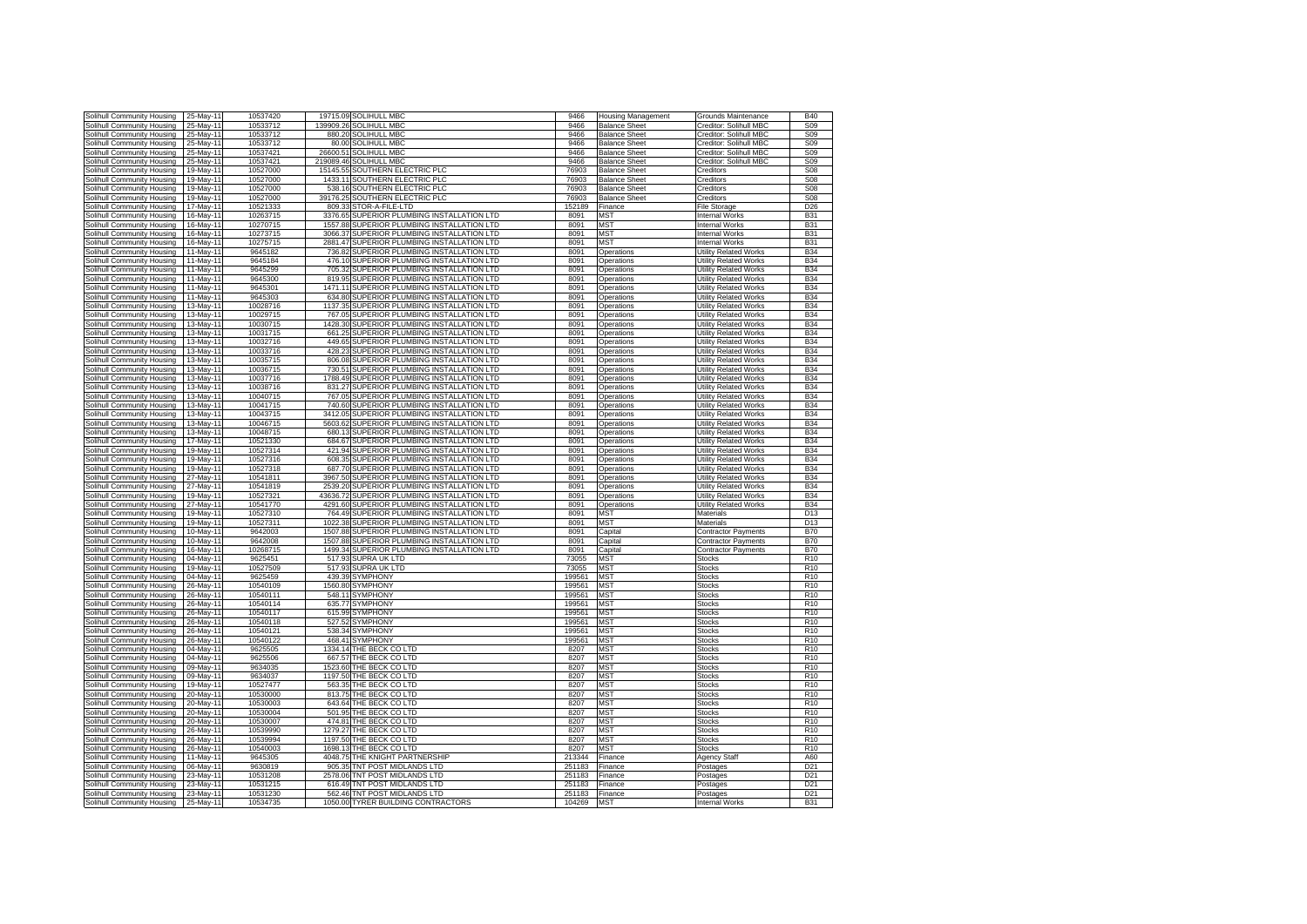| Solihull Community Housing | 25-May-11 | 10537420 |           | 19715.09 SOLIHULL MBC                       | 9466   | <b>Housing Management</b> | Grounds Maintenance          | <b>B40</b>      |
|----------------------------|-----------|----------|-----------|---------------------------------------------|--------|---------------------------|------------------------------|-----------------|
| Solihull Community Housing | 25-May-11 | 10533712 | 139909.26 | SOLIHULL MBC                                | 9466   | <b>Balance Sheet</b>      | Creditor: Solihull MBC       | S <sub>09</sub> |
| Solihull Community Housing | 25-May-11 | 10533712 | 880.20    | SOLIHULL MBC                                | 9466   | <b>Balance Sheet</b>      | Creditor: Solihull MBC       | <b>S09</b>      |
| Solihull Community Housing | 25-May-11 | 10533712 | 80.00     | <b>SOLIHULL MBC</b>                         | 9466   | <b>Balance Sheet</b>      | Creditor: Solihull MBC       | S <sub>09</sub> |
|                            | 25-May-11 | 10537421 | 26600.51  | <b>SOLIHULL MBC</b>                         | 9466   | <b>Balance Sheet</b>      |                              | S <sub>09</sub> |
| Solihull Community Housing |           |          |           |                                             |        |                           | Creditor: Solihull MBC       |                 |
| Solihull Community Housing | 25-May-11 | 10537421 | 219089.46 | <b>SOLIHULL MBC</b>                         | 9466   | <b>Balance Sheet</b>      | Creditor: Solihull MBC       | S <sub>09</sub> |
| Solihull Community Housing | 19-May-11 | 10527000 | 15145.55  | <b>SOUTHERN ELECTRIC PLC</b>                | 76903  | <b>Balance Sheet</b>      | creditors                    | <b>S08</b>      |
| Solihull Community Housing | 19-May-11 | 10527000 |           | 1433.11 SOUTHERN ELECTRIC PLC               | 76903  | <b>Balance Sheet</b>      | Creditors                    | <b>S08</b>      |
| Solihull Community Housing | 19-May-11 | 10527000 | 538.16    | SOUTHERN ELECTRIC PLC                       | 76903  | <b>Balance Sheet</b>      | Creditors                    | <b>S08</b>      |
| Solihull Community Housing | 19-May-11 | 10527000 | 39176.25  | SOUTHERN ELECTRIC PLC                       | 76903  | <b>Balance Sheet</b>      | Creditors                    | <b>S08</b>      |
| Solihull Community Housing | 17-May-11 | 10521333 | 809.33    | STOR-A-FILE-LTD                             | 152189 | Finance                   | <b>File Storage</b>          | D <sub>26</sub> |
| Solihull Community Housing | 16-May-1  | 10263715 | 3376.65   | SUPERIOR PLUMBING INSTALLATION LTD          | 8091   | <b>MST</b>                | <b>Internal Works</b>        | <b>B31</b>      |
| Solihull Community Housing | 16-May-1  | 10270715 | 1557.88   | SUPERIOR PLUMBING INSTALLATION LTD          | 8091   | <b>MST</b>                | <b>Internal Works</b>        | <b>B31</b>      |
| Solihull Community Housing | 16-May-1  | 10273715 | 3066.37   | SUPERIOR PLUMBING INSTALLATION LTD          | 8091   | <b>MST</b>                | <b>Internal Works</b>        | <b>B31</b>      |
|                            |           |          |           |                                             |        |                           |                              |                 |
| Solihull Community Housing | 16-May-11 | 10275715 | 2881.47   | SUPERIOR PLUMBING INSTALLATION LTD          | 8091   | <b>MST</b>                | <b>Internal Works</b>        | <b>B31</b>      |
| Solihull Community Housing | 11-May-11 | 9645182  | 736.82    | SUPERIOR PLUMBING INSTALLATION LTD          | 8091   | Operations                | <b>Utility Related Works</b> | <b>B34</b>      |
| Solihull Community Housing | 11-May-11 | 9645184  |           | 476.10 SUPERIOR PLUMBING INSTALLATION LTD   | 8091   | Operations                | <b>Utility Related Works</b> | <b>B34</b>      |
| Solihull Community Housing | 11-May-11 | 9645299  | 705.32    | SUPERIOR PLUMBING INSTALLATION LTD          | 8091   | Operations                | <b>Utility Related Works</b> | <b>B34</b>      |
| Solihull Community Housing | 11-May-11 | 9645300  | 819.95    | SUPERIOR PLUMBING INSTALLATION LTD          | 8091   | Operations                | Utility Related Works        | <b>B34</b>      |
| Solihull Community Housing | 11-May-11 | 9645301  | 1471.11   | SUPERIOR PLUMBING INSTALLATION LTD          | 8091   | Operations                | <b>Utility Related Works</b> | <b>B34</b>      |
| Solihull Community Housing | 11-May-11 | 9645303  | 634.80    | SUPERIOR PLUMBING INSTALLATION LTD          | 8091   | Operations                | Utility Related Works        | <b>B34</b>      |
| Solihull Community Housing | 13-May-11 | 10028716 | 1137.35   | <b>SUPERIOR PLUMBING INSTALLATION LTD</b>   | 8091   | Operations                | Utility Related Works        | <b>B34</b>      |
| Solihull Community Housing | 13-May-11 | 10029715 | 767.05    | SUPERIOR PLUMBING INSTALLATION LTD          | 8091   | Operations                | Utility Related Works        | <b>B34</b>      |
|                            |           |          |           |                                             |        |                           |                              |                 |
| Solihull Community Housing | 13-May-11 | 10030715 | 1428.30   | <b>SUPERIOR PLUMBING INSTALLATION LTD</b>   | 8091   | Operations                | Utility Related Works        | <b>B34</b>      |
| Solihull Community Housing | 13-May-11 | 10031715 | 661.25    | SUPERIOR PLUMBING INSTALLATION LTD          | 8091   | Operations                | <b>Utility Related Works</b> | <b>B34</b>      |
| Solihull Community Housing | 13-May-11 | 10032716 | 449.65    | SUPERIOR PLUMBING INSTALLATION LTD          | 8091   | Operations                | <b>Utility Related Works</b> | <b>B34</b>      |
| Solihull Community Housing | 13-May-11 | 10033716 | 428.23    | SUPERIOR PLUMBING INSTALLATION LTD          | 8091   | Operations                | <b>Utility Related Works</b> | <b>B34</b>      |
| Solihull Community Housing | 13-May-11 | 10035715 | 806.08    | SUPERIOR PLUMBING INSTALLATION LTD          | 8091   | Operations                | <b>Utility Related Works</b> | <b>B34</b>      |
| Solihull Community Housing | 13-May-11 | 10036715 | 730.51    | SUPERIOR PLUMBING INSTALLATION LTD          | 8091   | Operations                | Utility Related Works        | <b>B34</b>      |
| Solihull Community Housing | 13-May-1  | 10037716 | 1788.49   | SUPERIOR PLUMBING INSTALLATION LTD          | 8091   | Operations                | <b>Utility Related Works</b> | <b>B34</b>      |
| Solihull Community Housing | 13-May-1  | 10038716 | 831.27    | SUPERIOR PLUMBING INSTALLATION LTD          | 8091   | Operations                | <b>Utility Related Works</b> | <b>B34</b>      |
| Solihull Community Housing | 13-May-11 | 10040715 | 767.05    | SUPERIOR PLUMBING INSTALLATION LTD          | 8091   | Operations                | <b>Utility Related Works</b> | <b>B34</b>      |
|                            |           | 10041715 | 740.60    | SUPERIOR PLUMBING INSTALLATION LTD          |        |                           |                              |                 |
| Solihull Community Housing | 13-May-11 |          |           |                                             | 8091   | Operations                | <b>Utility Related Works</b> | <b>B34</b>      |
| Solihull Community Housing | 13-May-11 | 10043715 | 3412.05   | SUPERIOR PLUMBING INSTALLATION LTD          | 8091   | Operations                | <b>Utility Related Works</b> | <b>B34</b>      |
| Solihull Community Housing | 13-May-11 | 10046715 | 5603.62   | SUPERIOR PLUMBING INSTALLATION LTD          | 8091   | Operations                | <b>Utility Related Works</b> | <b>B34</b>      |
| Solihull Community Housing | 13-May-11 | 10048715 | 680.13    | SUPERIOR PLUMBING INSTALLATION LTD          | 8091   | Operations                | Utility Related Works        | <b>B34</b>      |
| Solihull Community Housing | 17-May-11 | 10521330 | 684.67    | SUPERIOR PLUMBING INSTALLATION LTD          | 8091   | Operations                | <b>Utility Related Works</b> | <b>B34</b>      |
| Solihull Community Housing | 19-May-11 | 10527314 | 421.94    | SUPERIOR PLUMBING INSTALLATION LTD          | 8091   | Operations                | Utility Related Works        | <b>B34</b>      |
| Solihull Community Housing | 19-May-11 | 10527316 | 608.35    | SUPERIOR PLUMBING INSTALLATION LTD          | 8091   | Operations                | Utility Related Works        | <b>B34</b>      |
| Solihull Community Housing | 19-May-11 | 10527318 | 687.70    | SUPERIOR PLUMBING INSTALLATION LTD          | 8091   | Operations                | Utility Related Works        | <b>B34</b>      |
| Solihull Community Housing | 27-May-11 | 10541811 | 3967.50   | SUPERIOR PLUMBING INSTALLATION LTD          | 8091   | Operations                | Utility Related Works        | <b>B34</b>      |
| Solihull Community Housing | 27-May-11 | 10541819 | 2539.20   | SUPERIOR PLUMBING INSTALLATION LTD          | 8091   | Operations                | <b>Utility Related Works</b> | <b>B34</b>      |
|                            |           |          |           |                                             |        |                           |                              |                 |
| Solihull Community Housing | 19-May-11 | 10527321 |           | 43636.72 SUPERIOR PLUMBING INSTALLATION LTD | 8091   | Operations                | Utility Related Works        | <b>B34</b>      |
| Solihull Community Housing | 27-May-11 | 10541770 |           | 4291.60 SUPERIOR PLUMBING INSTALLATION LTD  | 8091   | Operations                | <b>Utility Related Works</b> | <b>B34</b>      |
| Solihull Community Housing | 19-May-11 | 10527310 | 764.49    | SUPERIOR PLUMBING INSTALLATION LTD          | 8091   | MST                       | Materials                    | D <sub>13</sub> |
| Solihull Community Housing | 19-May-1  | 10527311 | 1022.38   | SUPERIOR PLUMBING INSTALLATION LTD          | 8091   | <b>MST</b>                | Materials                    | D <sub>13</sub> |
| Solihull Community Housing | 10-May-1  | 9642003  | 1507.88   | SUPERIOR PLUMBING INSTALLATION LTD          | 8091   | Capital                   | <b>Contractor Payments</b>   | <b>B70</b>      |
| Solihull Community Housing | 10-May-1  | 9642008  | 1507.88   | SUPERIOR PLUMBING INSTALLATION LTD          | 8091   | Capital                   | <b>Contractor Payments</b>   | <b>B70</b>      |
| Solihull Community Housing | 16-May-11 | 10268715 | 1499.34   | SUPERIOR PLUMBING INSTALLATION LTD          | 8091   | Capital                   | <b>Contractor Payments</b>   | <b>B70</b>      |
| Solihull Community Housing | 04-May-11 | 9625451  | 517.93    | SUPRA UK LTD                                | 73055  | <b>MST</b>                | <b>Stocks</b>                | R <sub>10</sub> |
| Solihull Community Housing | 19-May-11 | 10527509 | 517.93    | <b>SUPRA UK LTD</b>                         | 73055  | <b>MST</b>                | <b>Stocks</b>                | R <sub>10</sub> |
|                            |           |          |           |                                             |        |                           |                              |                 |
| Solihull Community Housing | 04-May-11 | 9625459  |           | 439.39 SYMPHONY                             | 199561 | <b>MST</b>                | <b>Stocks</b>                | R <sub>10</sub> |
| Solihull Community Housing | 26-May-11 | 10540109 |           | 1560.80 SYMPHONY                            | 199561 | <b>MST</b>                | <b>Stocks</b>                | R <sub>10</sub> |
| Solihull Community Housing | 26-May-11 | 10540111 |           | 548.11 SYMPHONY                             | 199561 | <b>MST</b>                | <b>Stocks</b>                | R <sub>10</sub> |
| Solihull Community Housing | 26-May-11 | 10540114 | 635.77    | <b>SYMPHONY</b>                             | 199561 | <b>MST</b>                | Stocks                       | R <sub>10</sub> |
| Solihull Community Housing | 26-May-11 | 10540117 | 615.99    | <b>SYMPHONY</b>                             | 199561 | <b>MST</b>                | <b>Stocks</b>                | R <sub>10</sub> |
| Solihull Community Housing | 26-May-11 | 10540118 | 527.52    | <b>SYMPHONY</b>                             | 199561 | MST                       | <b>Stocks</b>                | R <sub>10</sub> |
| Solihull Community Housing | 26-May-11 | 10540121 | 538.34    | <b>SYMPHONY</b>                             | 199561 | MST                       | <b>Stocks</b>                | R <sub>10</sub> |
| Solihull Community Housing | 26-May-11 | 10540122 | 468.41    | SYMPHONY                                    | 199561 | <b>MST</b>                | Stocks                       | R <sub>10</sub> |
| Solihull Community Housing | 04-May-11 | 9625505  | 1334.14   | THE BECK CO LTD                             | 8207   | MS1                       | Stocks                       | R <sub>10</sub> |
| Solihull Community Housing | 04-May-11 | 9625506  |           | 667.57 THE BECK CO LTD                      | 8207   | <b>MST</b>                | <b>Stocks</b>                | R <sub>10</sub> |
|                            |           |          |           |                                             |        |                           |                              | R <sub>10</sub> |
| Solihull Community Housing | 09-May-11 | 9634035  |           | 1523.60 THE BECK CO LTD                     | 8207   | <b>MST</b>                | <b>Stocks</b>                |                 |
| Solihull Community Housing | 09-May-11 | 9634037  |           | 1197.50 THE BECK CO LTD                     | 8207   | <b>MST</b>                | <b>Stocks</b>                | R <sub>10</sub> |
| Solihull Community Housing | 19-May-1  | 10527477 |           | 563.35 THE BECK CO LTD                      | 8207   | <b>MST</b>                | Stocks                       | R <sub>10</sub> |
| Solihull Community Housing | 20-May-1  | 10530000 |           | 813.75 THE BECK CO LTD                      | 8207   | <b>MST</b>                | <b>Stocks</b>                | R <sub>10</sub> |
| Solihull Community Housing | 20-May-1  | 10530003 |           | 643.64 THE BECK CO LTD                      | 8207   | <b>MST</b>                | <b>Stocks</b>                | R <sub>10</sub> |
| Solihull Community Housing | 20-May-11 | 10530004 |           | 501.95 THE BECK CO LTD                      | 8207   | <b>MST</b>                | <b>Stocks</b>                | R <sub>10</sub> |
| Solihull Community Housing | 20-May-11 | 10530007 |           | 474.81 THE BECK CO LTD                      | 8207   | <b>MST</b>                | <b>Stocks</b>                | R <sub>10</sub> |
| Solihull Community Housing | 26-May-11 | 10539990 |           | 1279.27 THE BECK CO LTD                     | 8207   | <b>MST</b>                | <b>Stocks</b>                | R <sub>10</sub> |
| Solihull Community Housing | 26-May-11 | 10539994 |           | 1197.50 THE BECK CO LTD                     | 8207   | MST                       | <b>Stocks</b>                | R <sub>10</sub> |
|                            | 26-May-11 | 10540003 |           | 1698.13 THE BECK CO LTD                     | 8207   | <b>MST</b>                |                              | R <sub>10</sub> |
| Solihull Community Housing |           |          |           |                                             |        |                           | <b>Stocks</b>                |                 |
| Solihull Community Housing | 11-May-11 | 9645305  |           | 4048.75 THE KNIGHT PARTNERSHIP              | 213344 | Finance                   | Agency Staff                 | A60             |
| Solihull Community Housing | 06-May-11 | 9630819  |           | 905.35 TNT POST MIDLANDS LTD                | 251183 | Finance                   | Postages                     | D <sub>21</sub> |
| Solihull Community Housing | 23-May-11 | 10531208 |           | 2578.06 TNT POST MIDLANDS LTD               | 251183 | Finance                   | Postages                     | D <sub>21</sub> |
| Solihull Community Housing | 23-May-11 | 10531215 |           | 616.49 TNT POST MIDLANDS LTD                | 251183 | Finance                   | Postages                     | D <sub>21</sub> |
| Solihull Community Housing | 23-May-11 | 10531230 |           | 562.46 TNT POST MIDLANDS LTD                | 251183 | <b>Finance</b>            | Postages                     | D <sub>21</sub> |
| Solihull Community Housing | 25-May-11 | 10534735 |           | 1050.00 TYRER BUILDING CONTRACTORS          | 104269 |                           | <b>Internal Works</b>        | <b>B31</b>      |